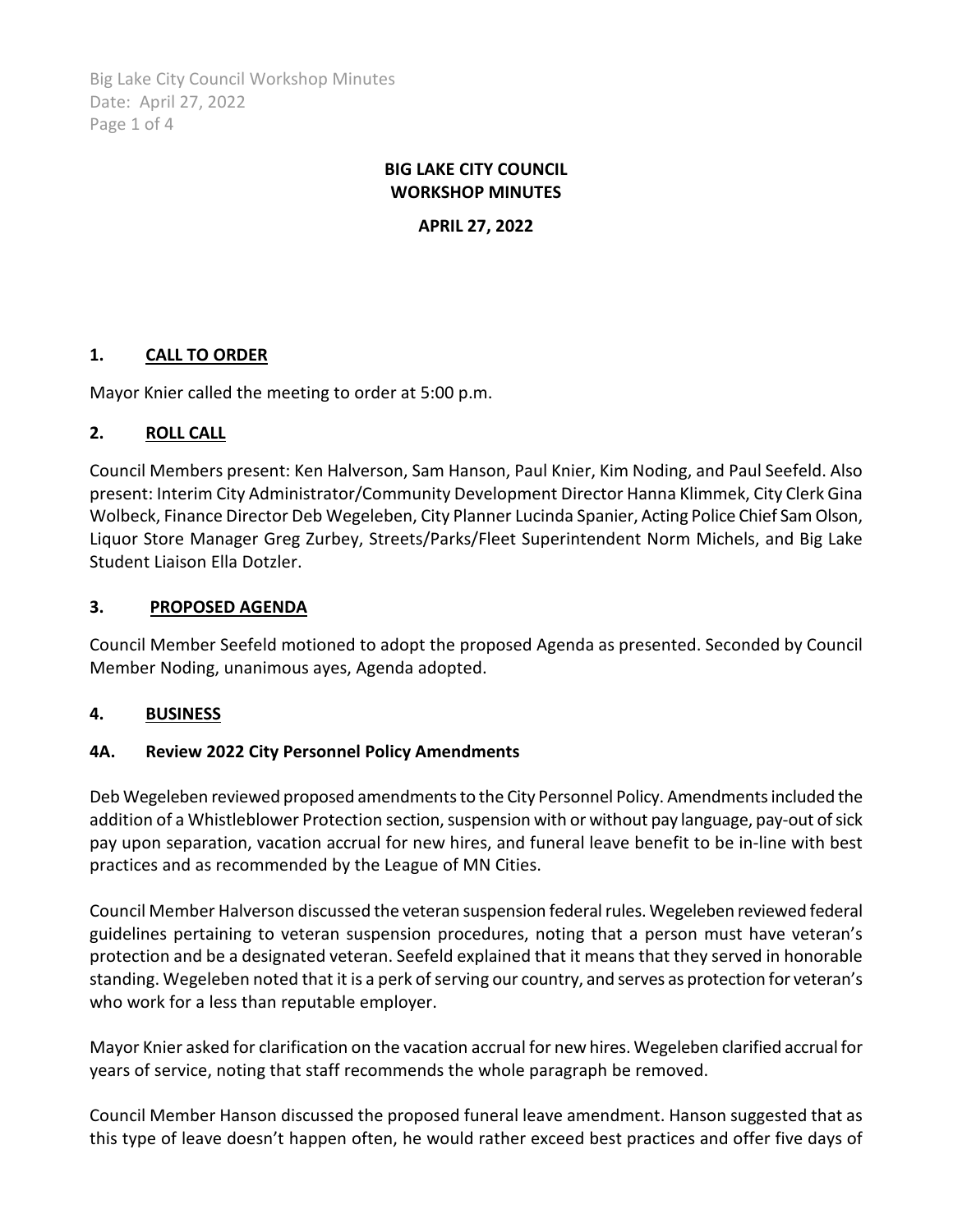Big Lake City Council Workshop Minutes Date: April 27, 2022 Page 1 of 4

## **BIG LAKE CITY COUNCIL WORKSHOP MINUTES**

**APRIL 27, 2022**

# **1. CALL TO ORDER**

Mayor Knier called the meeting to order at 5:00 p.m.

## **2. ROLL CALL**

Council Members present: Ken Halverson, Sam Hanson, Paul Knier, Kim Noding, and Paul Seefeld. Also present: Interim City Administrator/Community Development Director Hanna Klimmek, City Clerk Gina Wolbeck, Finance Director Deb Wegeleben, City Planner Lucinda Spanier, Acting Police Chief Sam Olson, Liquor Store Manager Greg Zurbey, Streets/Parks/Fleet Superintendent Norm Michels, and Big Lake Student Liaison Ella Dotzler.

### **3. PROPOSED AGENDA**

Council Member Seefeld motioned to adopt the proposed Agenda as presented. Seconded by Council Member Noding, unanimous ayes, Agenda adopted.

## **4. BUSINESS**

#### **4A. Review 2022 City Personnel Policy Amendments**

Deb Wegeleben reviewed proposed amendments to the City Personnel Policy. Amendments included the addition of a Whistleblower Protection section, suspension with or without pay language, pay-out of sick pay upon separation, vacation accrual for new hires, and funeral leave benefit to be in-line with best practices and as recommended by the League of MN Cities.

Council Member Halverson discussed the veteran suspension federal rules. Wegeleben reviewed federal guidelines pertaining to veteran suspension procedures, noting that a person must have veteran's protection and be a designated veteran. Seefeld explained that it means that they served in honorable standing. Wegeleben noted that it is a perk of serving our country, and serves as protection for veteran's who work for a less than reputable employer.

Mayor Knier asked for clarification on the vacation accrual for new hires. Wegeleben clarified accrual for years of service, noting that staff recommends the whole paragraph be removed.

Council Member Hanson discussed the proposed funeral leave amendment. Hanson suggested that as this type of leave doesn't happen often, he would rather exceed best practices and offer five days of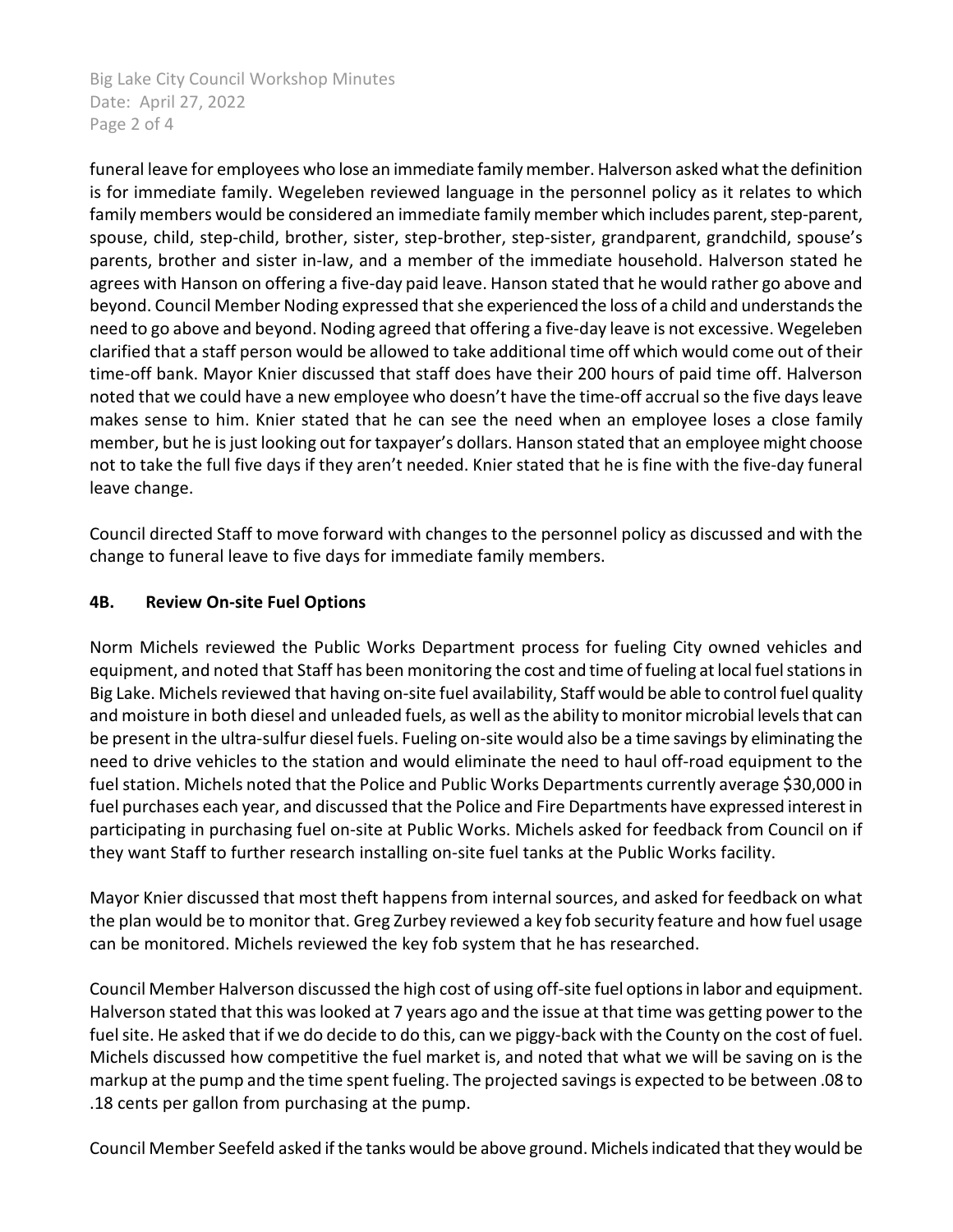Big Lake City Council Workshop Minutes Date: April 27, 2022 Page 2 of 4

funeral leave for employees who lose an immediate family member. Halverson asked what the definition is for immediate family. Wegeleben reviewed language in the personnel policy as it relates to which family members would be considered an immediate family member which includes parent, step-parent, spouse, child, step-child, brother, sister, step-brother, step-sister, grandparent, grandchild, spouse's parents, brother and sister in-law, and a member of the immediate household. Halverson stated he agrees with Hanson on offering a five-day paid leave. Hanson stated that he would rather go above and beyond. Council Member Noding expressed that she experienced the loss of a child and understands the need to go above and beyond. Noding agreed that offering a five-day leave is not excessive. Wegeleben clarified that a staff person would be allowed to take additional time off which would come out of their time-off bank. Mayor Knier discussed that staff does have their 200 hours of paid time off. Halverson noted that we could have a new employee who doesn't have the time-off accrual so the five days leave makes sense to him. Knier stated that he can see the need when an employee loses a close family member, but he is just looking out for taxpayer's dollars. Hanson stated that an employee might choose not to take the full five days if they aren't needed. Knier stated that he is fine with the five-day funeral leave change.

Council directed Staff to move forward with changes to the personnel policy as discussed and with the change to funeral leave to five days for immediate family members.

## **4B. Review On-site Fuel Options**

Norm Michels reviewed the Public Works Department process for fueling City owned vehicles and equipment, and noted that Staff has been monitoring the cost and time of fueling at local fuel stations in Big Lake. Michels reviewed that having on-site fuel availability, Staff would be able to control fuel quality and moisture in both diesel and unleaded fuels, as well as the ability to monitor microbial levels that can be present in the ultra-sulfur diesel fuels. Fueling on-site would also be a time savings by eliminating the need to drive vehicles to the station and would eliminate the need to haul off-road equipment to the fuel station. Michels noted that the Police and Public Works Departments currently average \$30,000 in fuel purchases each year, and discussed that the Police and Fire Departments have expressed interest in participating in purchasing fuel on-site at Public Works. Michels asked for feedback from Council on if they want Staff to further research installing on-site fuel tanks at the Public Works facility.

Mayor Knier discussed that most theft happens from internal sources, and asked for feedback on what the plan would be to monitor that. Greg Zurbey reviewed a key fob security feature and how fuel usage can be monitored. Michels reviewed the key fob system that he has researched.

Council Member Halverson discussed the high cost of using off-site fuel options in labor and equipment. Halverson stated that this was looked at 7 years ago and the issue at that time was getting power to the fuel site. He asked that if we do decide to do this, can we piggy-back with the County on the cost of fuel. Michels discussed how competitive the fuel market is, and noted that what we will be saving on is the markup at the pump and the time spent fueling. The projected savings is expected to be between .08 to .18 cents per gallon from purchasing at the pump.

Council Member Seefeld asked if the tanks would be above ground. Michels indicated that they would be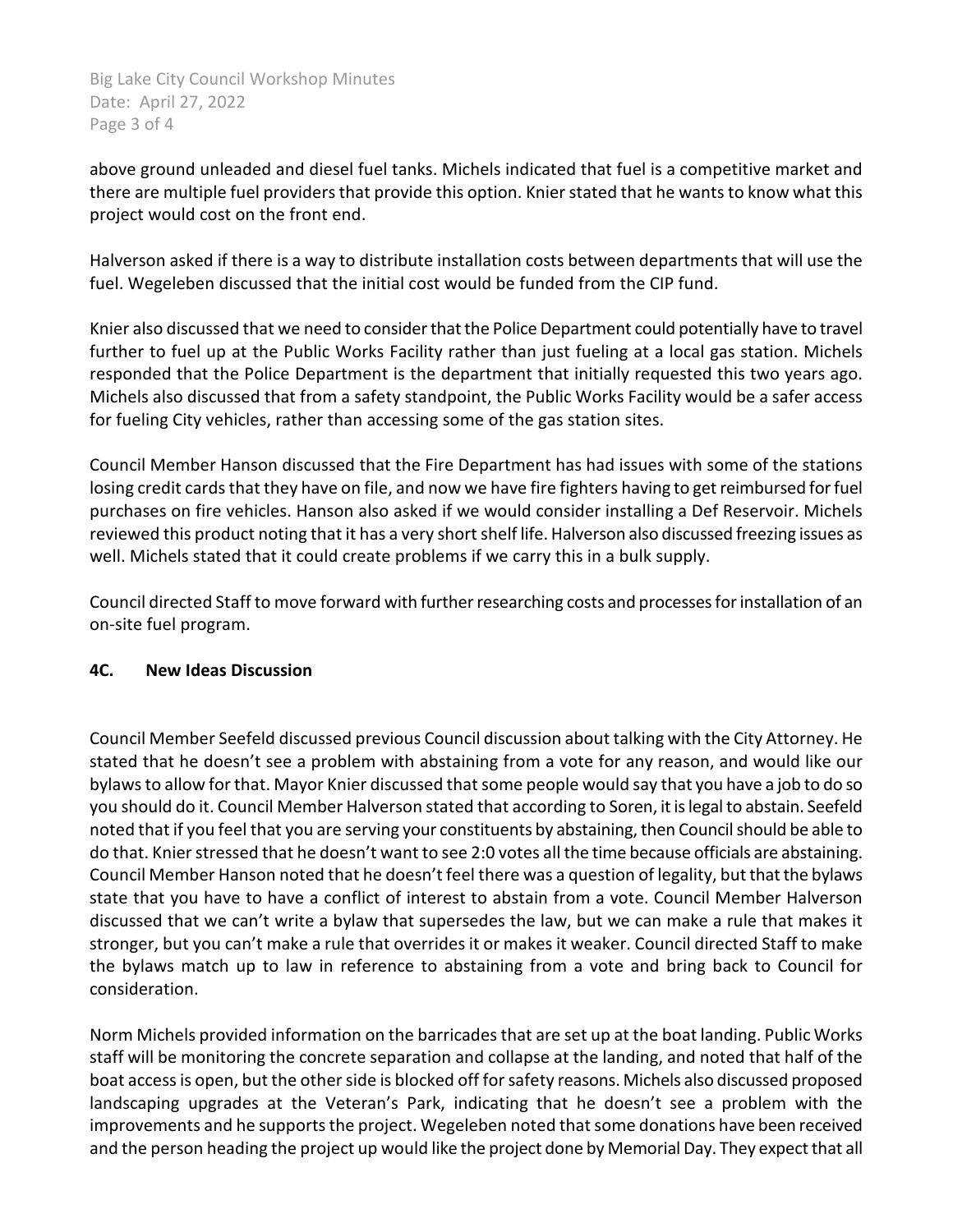Big Lake City Council Workshop Minutes Date: April 27, 2022 Page 3 of 4

above ground unleaded and diesel fuel tanks. Michels indicated that fuel is a competitive market and there are multiple fuel providers that provide this option. Knier stated that he wants to know what this project would cost on the front end.

Halverson asked if there is a way to distribute installation costs between departments that will use the fuel. Wegeleben discussed that the initial cost would be funded from the CIP fund.

Knier also discussed that we need to consider that the Police Department could potentially have to travel further to fuel up at the Public Works Facility rather than just fueling at a local gas station. Michels responded that the Police Department is the department that initially requested this two years ago. Michels also discussed that from a safety standpoint, the Public Works Facility would be a safer access for fueling City vehicles, rather than accessing some of the gas station sites.

Council Member Hanson discussed that the Fire Department has had issues with some of the stations losing credit cards that they have on file, and now we have fire fighters having to get reimbursed for fuel purchases on fire vehicles. Hanson also asked if we would consider installing a Def Reservoir. Michels reviewed this product noting that it has a very short shelf life. Halverson also discussed freezing issues as well. Michels stated that it could create problems if we carry this in a bulk supply.

Council directed Staff to move forward with further researching costs and processes for installation of an on-site fuel program.

## **4C. New Ideas Discussion**

Council Member Seefeld discussed previous Council discussion about talking with the City Attorney. He stated that he doesn't see a problem with abstaining from a vote for any reason, and would like our bylaws to allow for that. Mayor Knier discussed that some people would say that you have a job to do so you should do it. Council Member Halverson stated that according to Soren, it is legal to abstain. Seefeld noted that if you feel that you are serving your constituents by abstaining, then Council should be able to do that. Knier stressed that he doesn't want to see 2:0 votes all the time because officials are abstaining. Council Member Hanson noted that he doesn't feel there was a question of legality, but that the bylaws state that you have to have a conflict of interest to abstain from a vote. Council Member Halverson discussed that we can't write a bylaw that supersedes the law, but we can make a rule that makes it stronger, but you can't make a rule that overrides it or makes it weaker. Council directed Staff to make the bylaws match up to law in reference to abstaining from a vote and bring back to Council for consideration.

Norm Michels provided information on the barricades that are set up at the boat landing. Public Works staff will be monitoring the concrete separation and collapse at the landing, and noted that half of the boat access is open, but the other side is blocked off for safety reasons. Michels also discussed proposed landscaping upgrades at the Veteran's Park, indicating that he doesn't see a problem with the improvements and he supports the project. Wegeleben noted that some donations have been received and the person heading the project up would like the project done by Memorial Day. They expect that all